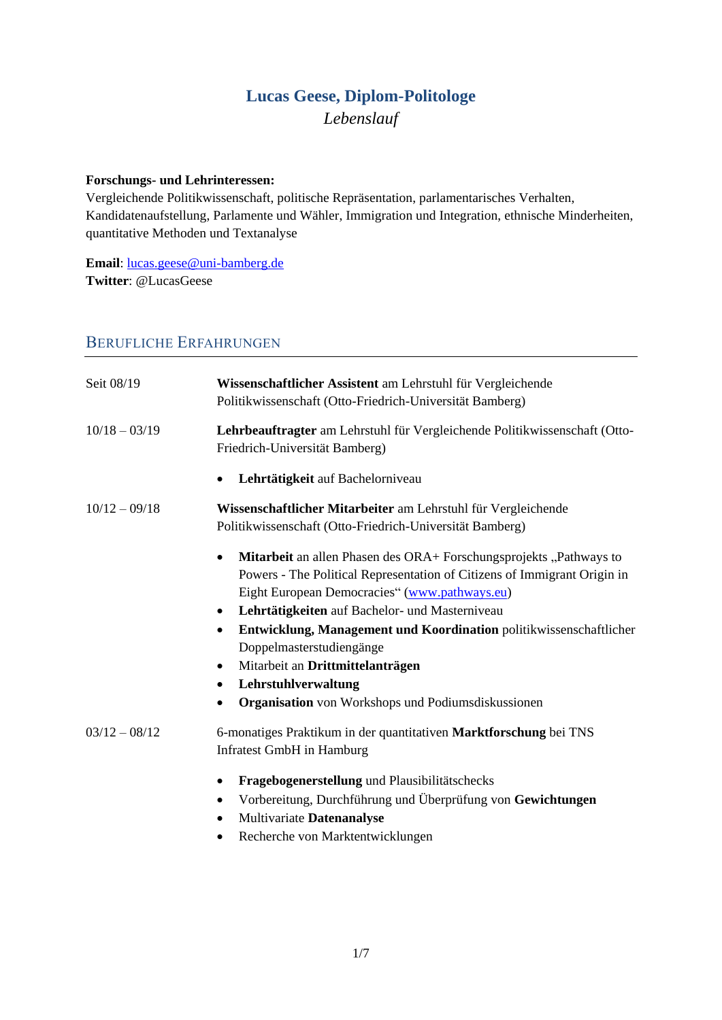## **Lucas Geese, Diplom-Politologe** *Lebenslauf*

#### **Forschungs- und Lehrinteressen:**

Vergleichende Politikwissenschaft, politische Repräsentation, parlamentarisches Verhalten, Kandidatenaufstellung, Parlamente und Wähler, Immigration und Integration, ethnische Minderheiten, quantitative Methoden und Textanalyse

**Email**: [lucas.geese@uni-bamberg.de](mailto:lucas.geese@uni-bamberg.de) **Twitter**: @LucasGeese

### BERUFLICHE ERFAHRUNGEN

| Seit 08/19      | Wissenschaftlicher Assistent am Lehrstuhl für Vergleichende<br>Politikwissenschaft (Otto-Friedrich-Universität Bamberg)                                                                                                                                                                                                                                                                                                                                                                                                                           |  |
|-----------------|---------------------------------------------------------------------------------------------------------------------------------------------------------------------------------------------------------------------------------------------------------------------------------------------------------------------------------------------------------------------------------------------------------------------------------------------------------------------------------------------------------------------------------------------------|--|
| $10/18 - 03/19$ | Lehrbeauftragter am Lehrstuhl für Vergleichende Politikwissenschaft (Otto-<br>Friedrich-Universität Bamberg)                                                                                                                                                                                                                                                                                                                                                                                                                                      |  |
|                 | Lehrtätigkeit auf Bachelorniveau<br>٠                                                                                                                                                                                                                                                                                                                                                                                                                                                                                                             |  |
| $10/12 - 09/18$ | Wissenschaftlicher Mitarbeiter am Lehrstuhl für Vergleichende<br>Politikwissenschaft (Otto-Friedrich-Universität Bamberg)                                                                                                                                                                                                                                                                                                                                                                                                                         |  |
|                 | Mitarbeit an allen Phasen des ORA+ Forschungsprojekts "Pathways to<br>$\bullet$<br>Powers - The Political Representation of Citizens of Immigrant Origin in<br>Eight European Democracies" (www.pathways.eu)<br>Lehrtätigkeiten auf Bachelor- und Masterniveau<br>$\bullet$<br>Entwicklung, Management und Koordination politikwissenschaftlicher<br>$\bullet$<br>Doppelmasterstudiengänge<br>Mitarbeit an Drittmittelanträgen<br>٠<br>Lehrstuhlverwaltung<br>$\bullet$<br><b>Organisation</b> von Workshops und Podiumsdiskussionen<br>$\bullet$ |  |
| $03/12 - 08/12$ | 6-monatiges Praktikum in der quantitativen Marktforschung bei TNS<br>Infratest GmbH in Hamburg<br>Fragebogenerstellung und Plausibilitätschecks<br>٠<br>Vorbereitung, Durchführung und Überprüfung von Gewichtungen<br>٠<br>Multivariate Datenanalyse                                                                                                                                                                                                                                                                                             |  |

Recherche von Marktentwicklungen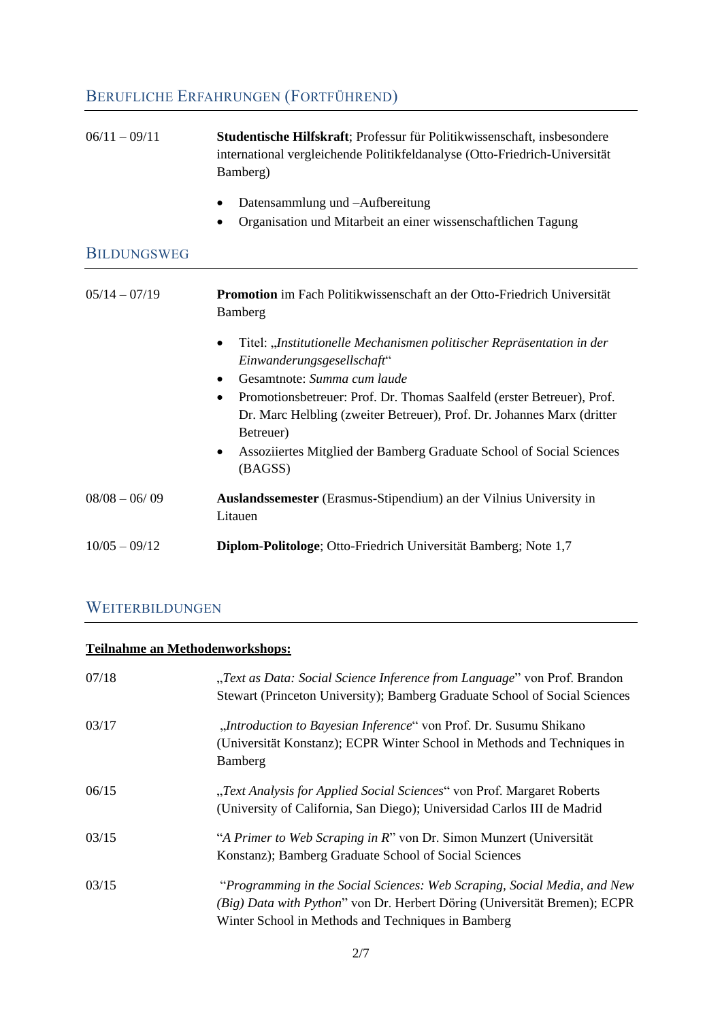# BERUFLICHE ERFAHRUNGEN (FORTFÜHREND)

| $06/11 - 09/11$    | Studentische Hilfskraft; Professur für Politikwissenschaft, insbesondere<br>international vergleichende Politikfeldanalyse (Otto-Friedrich-Universität<br>Bamberg)         |
|--------------------|----------------------------------------------------------------------------------------------------------------------------------------------------------------------------|
|                    | Datensammlung und -Aufbereitung<br>$\bullet$<br>Organisation und Mitarbeit an einer wissenschaftlichen Tagung<br>$\bullet$                                                 |
|                    |                                                                                                                                                                            |
| <b>BILDUNGSWEG</b> |                                                                                                                                                                            |
| $05/14 - 07/19$    | Promotion im Fach Politikwissenschaft an der Otto-Friedrich Universität<br>Bamberg                                                                                         |
|                    | Titel: "Institutionelle Mechanismen politischer Repräsentation in der<br>$\bullet$<br>Einwanderungsgesellschaft"                                                           |
|                    | Gesamtnote: Summa cum laude                                                                                                                                                |
|                    | Promotionsbetreuer: Prof. Dr. Thomas Saalfeld (erster Betreuer), Prof.<br>$\bullet$<br>Dr. Marc Helbling (zweiter Betreuer), Prof. Dr. Johannes Marx (dritter<br>Betreuer) |
|                    | Assoziiertes Mitglied der Bamberg Graduate School of Social Sciences<br>$\bullet$<br>(BAGSS)                                                                               |
| $08/08 - 06/09$    | Auslandssemester (Erasmus-Stipendium) an der Vilnius University in<br>Litauen                                                                                              |
| $10/05 - 09/12$    | Diplom-Politologe; Otto-Friedrich Universität Bamberg; Note 1,7                                                                                                            |

## WEITERBILDUNGEN

## **Teilnahme an Methodenworkshops:**

| 07/18 | "Text as Data: Social Science Inference from Language" von Prof. Brandon<br>Stewart (Princeton University); Bamberg Graduate School of Social Sciences                                                      |
|-------|-------------------------------------------------------------------------------------------------------------------------------------------------------------------------------------------------------------|
| 03/17 | "Introduction to Bayesian Inference" von Prof. Dr. Susumu Shikano<br>(Universität Konstanz); ECPR Winter School in Methods and Techniques in<br>Bamberg                                                     |
| 06/15 | "Text Analysis for Applied Social Sciences" von Prof. Margaret Roberts<br>(University of California, San Diego); Universidad Carlos III de Madrid                                                           |
| 03/15 | "A Primer to Web Scraping in R" von Dr. Simon Munzert (Universität<br>Konstanz); Bamberg Graduate School of Social Sciences                                                                                 |
| 03/15 | "Programming in the Social Sciences: Web Scraping, Social Media, and New<br>(Big) Data with Python" von Dr. Herbert Döring (Universität Bremen); ECPR<br>Winter School in Methods and Techniques in Bamberg |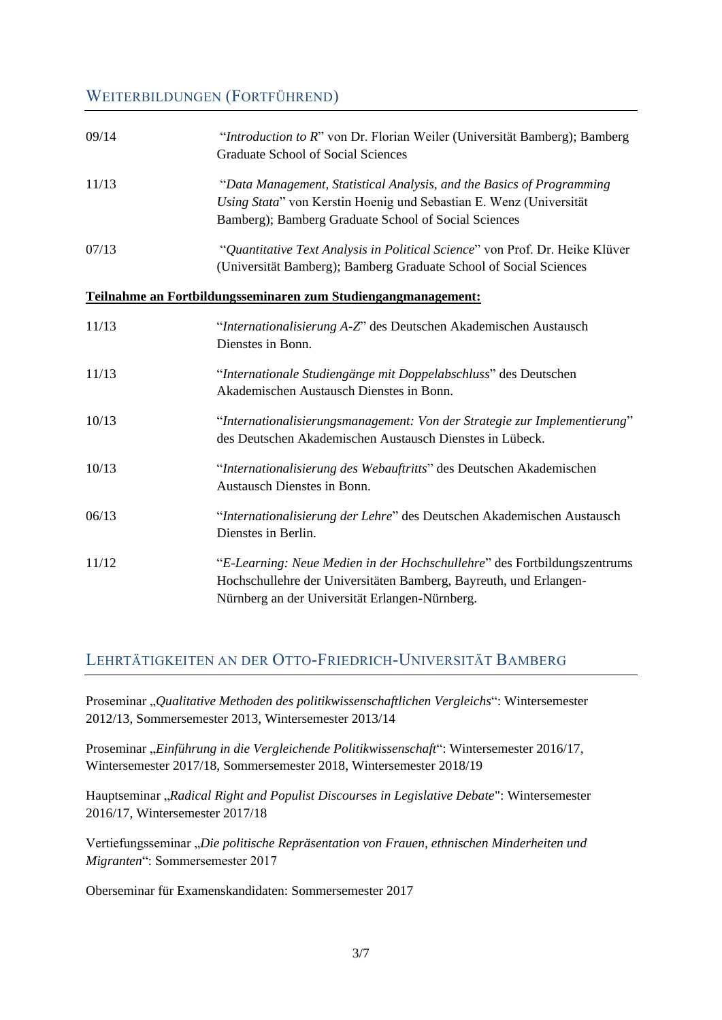## WEITERBILDUNGEN (FORTFÜHREND)

| 09/14 | "Introduction to R" von Dr. Florian Weiler (Universität Bamberg); Bamberg<br><b>Graduate School of Social Sciences</b>                                                                              |
|-------|-----------------------------------------------------------------------------------------------------------------------------------------------------------------------------------------------------|
| 11/13 | "Data Management, Statistical Analysis, and the Basics of Programming<br>Using Stata" von Kerstin Hoenig und Sebastian E. Wenz (Universität<br>Bamberg); Bamberg Graduate School of Social Sciences |
| 07/13 | "Quantitative Text Analysis in Political Science" von Prof. Dr. Heike Klüver<br>(Universität Bamberg); Bamberg Graduate School of Social Sciences                                                   |
|       | Teilnahme an Fortbildungsseminaren zum Studiengangmanagement:                                                                                                                                       |
| 11/13 | "Internationalisierung A-Z" des Deutschen Akademischen Austausch<br>Dienstes in Bonn.                                                                                                               |
| 11/13 | "Internationale Studiengänge mit Doppelabschluss" des Deutschen<br>Akademischen Austausch Dienstes in Bonn.                                                                                         |
| 10/13 | "Internationalisierungsmanagement: Von der Strategie zur Implementierung"<br>des Deutschen Akademischen Austausch Dienstes in Lübeck.                                                               |
| 10/13 | "Internationalisierung des Webauftritts" des Deutschen Akademischen<br>Austausch Dienstes in Bonn.                                                                                                  |
| 06/13 | "Internationalisierung der Lehre" des Deutschen Akademischen Austausch<br>Dienstes in Berlin.                                                                                                       |
| 11/12 | "E-Learning: Neue Medien in der Hochschullehre" des Fortbildungszentrums<br>Hochschullehre der Universitäten Bamberg, Bayreuth, und Erlangen-<br>Nürnberg an der Universität Erlangen-Nürnberg.     |

## LEHRTÄTIGKEITEN AN DER OTTO-FRIEDRICH-UNIVERSITÄT BAMBERG

Proseminar "*Qualitative Methoden des politikwissenschaftlichen Vergleichs*": Wintersemester 2012/13, Sommersemester 2013, Wintersemester 2013/14

Proseminar "*Einführung in die Vergleichende Politikwissenschaft"*: Wintersemester 2016/17, Wintersemester 2017/18, Sommersemester 2018, Wintersemester 2018/19

Hauptseminar "*Radical Right and Populist Discourses in Legislative Debate*": Wintersemester 2016/17, Wintersemester 2017/18

Vertiefungsseminar "*Die politische Repräsentation von Frauen, ethnischen Minderheiten und Migranten*": Sommersemester 2017

Oberseminar für Examenskandidaten: Sommersemester 2017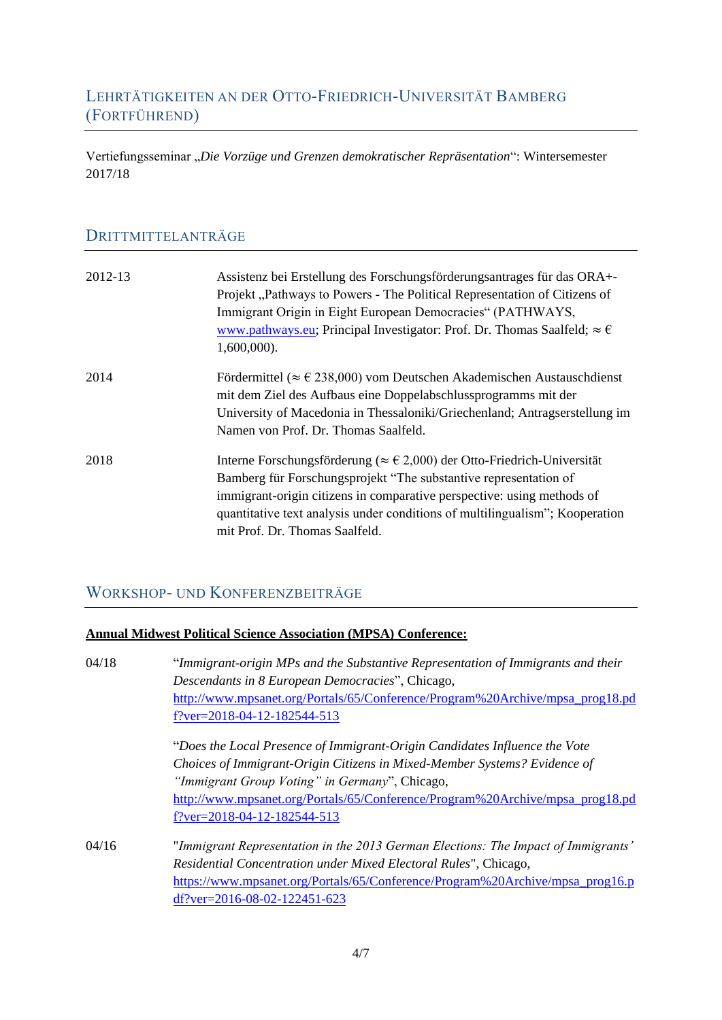## LEHRTÄTIGKEITEN AN DER OTTO-FRIEDRICH-UNIVERSITÄT BAMBERG (FORTFÜHREND)

Vertiefungsseminar "Die Vorzüge und Grenzen demokratischer Repräsentation": Wintersemester 2017/18

## DRITTMITTELANTRÄGE

| 2012-13 | Assistenz bei Erstellung des Forschungsförderungsantrages für das ORA+-<br>Projekt, Pathways to Powers - The Political Representation of Citizens of<br>Immigrant Origin in Eight European Democracies" (PATHWAYS,<br>www.pathways.eu; Principal Investigator: Prof. Dr. Thomas Saalfeld; $\approx \epsilon$<br>$1,600,000$ ).                                     |
|---------|--------------------------------------------------------------------------------------------------------------------------------------------------------------------------------------------------------------------------------------------------------------------------------------------------------------------------------------------------------------------|
| 2014    | Fördermittel ( $\approx \epsilon$ 238,000) vom Deutschen Akademischen Austauschdienst<br>mit dem Ziel des Aufbaus eine Doppelabschlussprogramms mit der<br>University of Macedonia in Thessaloniki/Griechenland; Antragserstellung im<br>Namen von Prof. Dr. Thomas Saalfeld.                                                                                      |
| 2018    | Interne Forschungsförderung ( $\approx \text{\textsterling}2,000$ ) der Otto-Friedrich-Universität<br>Bamberg für Forschungsprojekt "The substantive representation of<br>immigrant-origin citizens in comparative perspective: using methods of<br>quantitative text analysis under conditions of multilingualism"; Kooperation<br>mit Prof. Dr. Thomas Saalfeld. |

## WORKSHOP- UND KONFERENZBEITRÄGE

#### **Annual Midwest Political Science Association (MPSA) Conference:**

| 04/18 | "Immigrant-origin MPs and the Substantive Representation of Immigrants and their  |  |
|-------|-----------------------------------------------------------------------------------|--|
|       | Descendants in 8 European Democracies", Chicago,                                  |  |
|       | http://www.mpsanet.org/Portals/65/Conference/Program%20Archive/mpsa_prog18.pd     |  |
|       | $f$ ?ver=2018-04-12-182544-513                                                    |  |
|       | "Does the Local Presence of Immigrant-Origin Candidates Influence the Vote        |  |
|       | Choices of Immigrant-Origin Citizens in Mixed-Member Systems? Evidence of         |  |
|       | "Immigrant Group Voting" in Germany", Chicago,                                    |  |
|       | http://www.mpsanet.org/Portals/65/Conference/Program%20Archive/mpsa_prog18.pd     |  |
|       | $f$ ?ver=2018-04-12-182544-513                                                    |  |
| 04/16 | "Immigrant Representation in the 2013 German Elections: The Impact of Immigrants" |  |
|       | Residential Concentration under Mixed Electoral Rules", Chicago,                  |  |
|       | https://www.mpsanet.org/Portals/65/Conference/Program%20Archive/mpsa_prog16.p     |  |
|       | $df?ver = 2016 - 08 - 02 - 122451 - 623$                                          |  |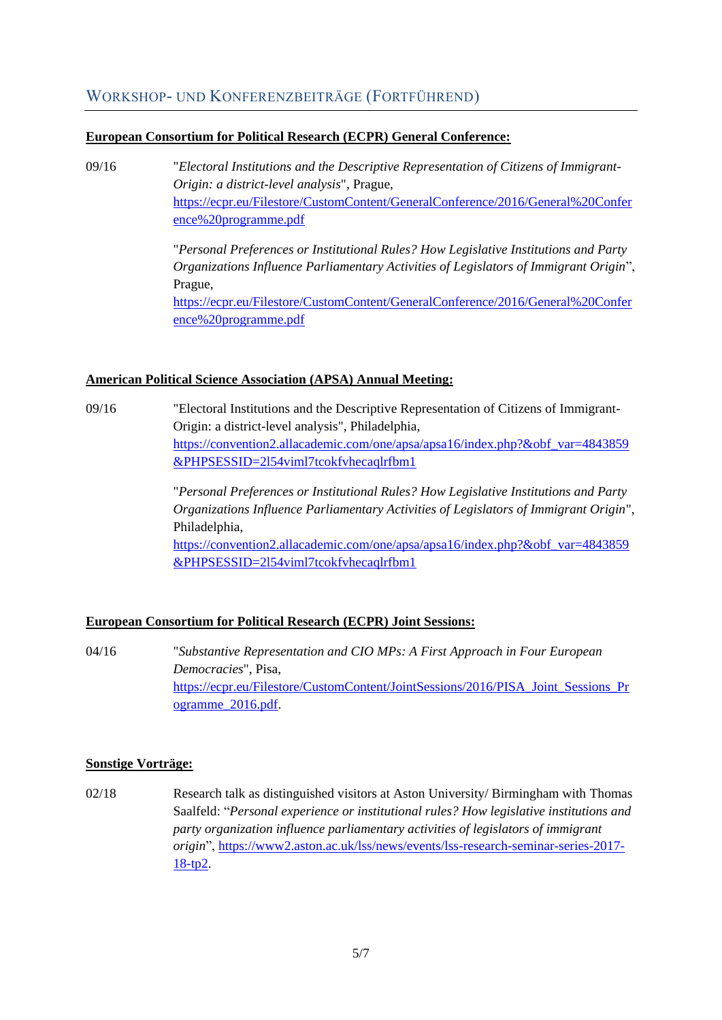## WORKSHOP- UND KONFERENZBEITRÄGE (FORTFÜHREND)

#### **European Consortium for Political Research (ECPR) General Conference:**

09/16 "*Electoral Institutions and the Descriptive Representation of Citizens of Immigrant-Origin: a district-level analysis*", Prague, [https://ecpr.eu/Filestore/CustomContent/GeneralConference/2016/General%20Confer](https://ecpr.eu/Filestore/CustomContent/GeneralConference/2016/General%20Conference%20programme.pdf) [ence%20programme.pdf](https://ecpr.eu/Filestore/CustomContent/GeneralConference/2016/General%20Conference%20programme.pdf)

> "*Personal Preferences or Institutional Rules? How Legislative Institutions and Party Organizations Influence Parliamentary Activities of Legislators of Immigrant Origin*", Prague, [https://ecpr.eu/Filestore/CustomContent/GeneralConference/2016/General%20Confer](https://ecpr.eu/Filestore/CustomContent/GeneralConference/2016/General%20Conference%20programme.pdf) [ence%20programme.pdf](https://ecpr.eu/Filestore/CustomContent/GeneralConference/2016/General%20Conference%20programme.pdf)

#### **American Political Science Association (APSA) Annual Meeting:**

09/16 "Electoral Institutions and the Descriptive Representation of Citizens of Immigrant-Origin: a district-level analysis", Philadelphia, [https://convention2.allacademic.com/one/apsa/apsa16/index.php?&obf\\_var=4843859](https://convention2.allacademic.com/one/apsa/apsa16/index.php?&obf_var=4843859&PHPSESSID=2l54viml7tcokfvhecaqlrfbm1) [&PHPSESSID=2l54viml7tcokfvhecaqlrfbm1](https://convention2.allacademic.com/one/apsa/apsa16/index.php?&obf_var=4843859&PHPSESSID=2l54viml7tcokfvhecaqlrfbm1)

> "*Personal Preferences or Institutional Rules? How Legislative Institutions and Party Organizations Influence Parliamentary Activities of Legislators of Immigrant Origin*", Philadelphia,

> [https://convention2.allacademic.com/one/apsa/apsa16/index.php?&obf\\_var=4843859](https://convention2.allacademic.com/one/apsa/apsa16/index.php?&obf_var=4843859&PHPSESSID=2l54viml7tcokfvhecaqlrfbm1) [&PHPSESSID=2l54viml7tcokfvhecaqlrfbm1](https://convention2.allacademic.com/one/apsa/apsa16/index.php?&obf_var=4843859&PHPSESSID=2l54viml7tcokfvhecaqlrfbm1)

#### **European Consortium for Political Research (ECPR) Joint Sessions:**

04/16 "*Substantive Representation and CIO MPs: A First Approach in Four European Democracies*", Pisa, [https://ecpr.eu/Filestore/CustomContent/JointSessions/2016/PISA\\_Joint\\_Sessions\\_Pr](https://ecpr.eu/Filestore/CustomContent/JointSessions/2016/PISA_Joint_Sessions_Programme_2016.pdf) [ogramme\\_2016.pdf.](https://ecpr.eu/Filestore/CustomContent/JointSessions/2016/PISA_Joint_Sessions_Programme_2016.pdf)

#### **Sonstige Vorträge:**

02/18 Research talk as distinguished visitors at Aston University/ Birmingham with Thomas Saalfeld: "*Personal experience or institutional rules? How legislative institutions and party organization influence parliamentary activities of legislators of immigrant origin*", [https://www2.aston.ac.uk/lss/news/events/lss-research-seminar-series-2017-](https://www2.aston.ac.uk/lss/news/events/lss-research-seminar-series-2017-18-tp2) [18-tp2.](https://www2.aston.ac.uk/lss/news/events/lss-research-seminar-series-2017-18-tp2)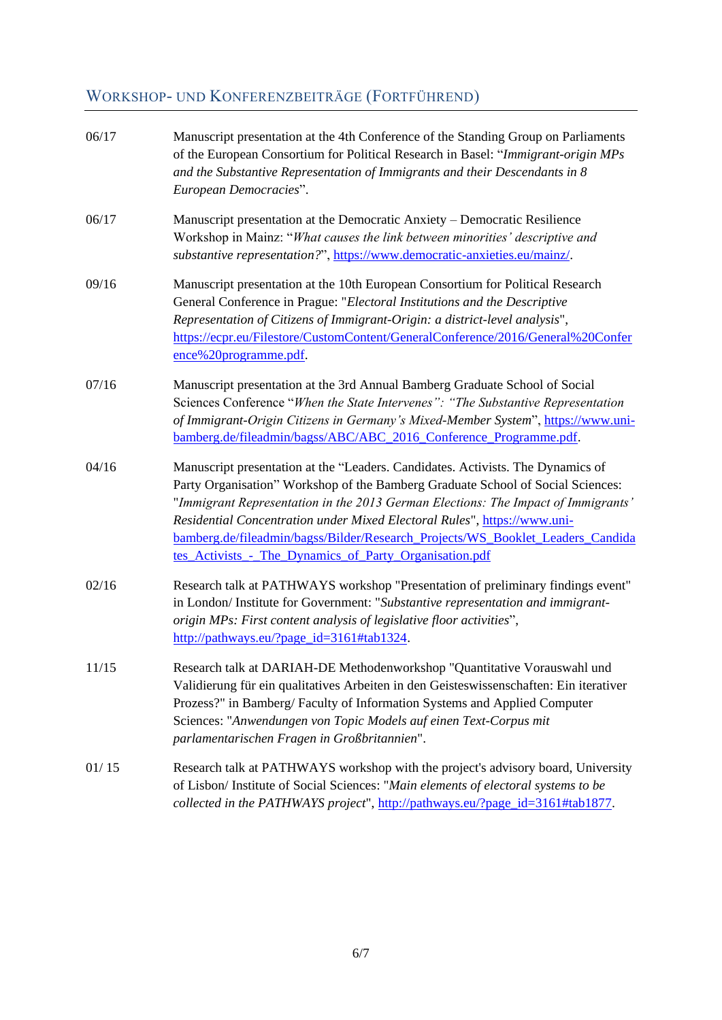# WORKSHOP- UND KONFERENZBEITRÄGE (FORTFÜHREND)

| 06/17 | Manuscript presentation at the 4th Conference of the Standing Group on Parliaments<br>of the European Consortium for Political Research in Basel: "Immigrant-origin MPs<br>and the Substantive Representation of Immigrants and their Descendants in 8<br>European Democracies".                                                                                                                                                                                                |
|-------|---------------------------------------------------------------------------------------------------------------------------------------------------------------------------------------------------------------------------------------------------------------------------------------------------------------------------------------------------------------------------------------------------------------------------------------------------------------------------------|
| 06/17 | Manuscript presentation at the Democratic Anxiety - Democratic Resilience<br>Workshop in Mainz: "What causes the link between minorities' descriptive and<br>substantive representation?", https://www.democratic-anxieties.eu/mainz/.                                                                                                                                                                                                                                          |
| 09/16 | Manuscript presentation at the 10th European Consortium for Political Research<br>General Conference in Prague: "Electoral Institutions and the Descriptive<br>Representation of Citizens of Immigrant-Origin: a district-level analysis",<br>https://ecpr.eu/Filestore/CustomContent/GeneralConference/2016/General%20Confer<br>ence%20programme.pdf.                                                                                                                          |
| 07/16 | Manuscript presentation at the 3rd Annual Bamberg Graduate School of Social<br>Sciences Conference "When the State Intervenes": "The Substantive Representation<br>of Immigrant-Origin Citizens in Germany's Mixed-Member System", https://www.uni-<br>bamberg.de/fileadmin/bagss/ABC/ABC_2016_Conference_Programme.pdf.                                                                                                                                                        |
| 04/16 | Manuscript presentation at the "Leaders. Candidates. Activists. The Dynamics of<br>Party Organisation" Workshop of the Bamberg Graduate School of Social Sciences:<br>"Immigrant Representation in the 2013 German Elections: The Impact of Immigrants'<br>Residential Concentration under Mixed Electoral Rules", https://www.uni-<br>bamberg.de/fileadmin/bagss/Bilder/Research_Projects/WS_Booklet_Leaders_Candida<br>tes_Activists_-_The_Dynamics_of_Party_Organisation.pdf |
| 02/16 | Research talk at PATHWAYS workshop "Presentation of preliminary findings event"<br>in London/ Institute for Government: "Substantive representation and immigrant-<br>origin MPs: First content analysis of legislative floor activities",<br>http://pathways.eu/?page_id=3161#tab1324.                                                                                                                                                                                         |
| 11/15 | Research talk at DARIAH-DE Methodenworkshop "Quantitative Vorauswahl und<br>Validierung für ein qualitatives Arbeiten in den Geisteswissenschaften: Ein iterativer<br>Prozess?" in Bamberg/Faculty of Information Systems and Applied Computer<br>Sciences: "Anwendungen von Topic Models auf einen Text-Corpus mit<br>parlamentarischen Fragen in Großbritannien".                                                                                                             |
| 01/15 | Research talk at PATHWAYS workshop with the project's advisory board, University<br>of Lisbon/ Institute of Social Sciences: "Main elements of electoral systems to be<br>collected in the PATHWAYS project", http://pathways.eu/?page_id=3161#tab1877.                                                                                                                                                                                                                         |